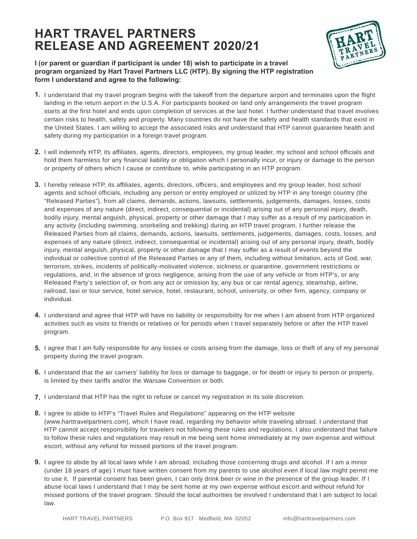## **HART TRAVEL PARTNERS RELEASE AND AGREEMENT 2020/21**



## **I (or parent or guardian if participant is under 18) wish to participate in a travel program organized by Hart Travel Partners LLC (HTP). By signing the HTP registration form I understand and agree to the following:**

- **1.** I understand that my travel program begins with the takeoff from the departure airport and terminates upon the flight landing in the return airport in the U.S.A. For participants booked on land only arrangements the travel program starts at the first hotel and ends upon completion of services at the last hotel. I further understand that travel involves certain risks to health, safety and property. Many countries do not have the safety and health standards that exist in the United States. I am willing to accept the associated risks and understand that HTP cannot guarantee health and safety during my participation in a foreign travel program.
- **2.** I will indemnify HTP, its affiliates, agents, directors, employees, my group leader, my school and school officials and hold them harmless for any financial liability or obligation which I personally incur, or injury or damage to the person or property of others which I cause or contribute to, while participating in an HTP program.
- **3.** I hereby release HTP, its affiliates, agents, directors, officers, and employees and my group leader, host school agents and school officials, including any person or entity employed or utilized by HTP in any foreign country (the "Released Parties"), from all claims, demands, actions, lawsuits, settlements, judgements, damages, losses, costs and expenses of any nature (direct, indirect, consequential or incidental) arising out of any personal injury, death, bodily injury, mental anguish, physical, property or other damage that I may suffer as a result of my participation in any activity (including swimming, snorkeling and trekking) during an HTP travel program. I further release the Released Parties from all claims, demands, actions, lawsuits, settlements, judgements, damages, costs, losses, and expenses of any nature (direct, indirect, consequential or incidental) arising out of any personal injury, death, bodily injury, mental anguish, physical, property or other damage that I may suffer as a result of events beyond the individual or collective control of the Released Parties or any of them, including without limitation, acts of God, war, terrorism, strikes, incidents of politically-motivated violence, sickness or quarantine, government restrictions or regulations, and, in the absence of gross negligence, arising from the use of any vehicle or from HTP's, or any Released Party's selection of, or from any act or omission by, any bus or car rental agency, steamship, airline, railroad, taxi or tour service, hotel service, hotel, restaurant, school, university, or other firm, agency, company or individual.
- **4.** I understand and agree that HTP will have no liability or responsibility for me when I am absent from HTP organized activities such as visits to friends or relatives or for periods when I travel separately before or after the HTP travel program.
- **5.** I agree that I am fully responsible for any losses or costs arising from the damage, loss or theft of any of my personal property during the travel program.
- **6.** I understand that the air carriers' liability for loss or damage to baggage, or for death or injury to person or property, is limited by their tariffs and/or the Warsaw Convention or both.
- **7.** I understand that HTP has the right to refuse or cancel my registration in its sole discretion.
- **8.** I agree to abide to HTP's "Travel Rules and Regulations" appearing on the HTP website (www.harttravelpartners.com), which I have read, regarding my behavior while traveling abroad. I understand that HTP cannot accept responsibility for travelers not following these rules and regulations. I also understand that failure to follow these rules and regulations may result in me being sent home immediately at my own expense and without escort, without any refund for missed portions of the travel program.
- **9.** I agree to abide by all local laws while I am abroad, including those concerning drugs and alcohol. If I am a minor (under 18 years of age) I must have written consent from my parents to use alcohol even if local law might permit me to use it. If parental consent has been given, I can only drink beer or wine in the presence of the group leader. If I abuse local laws I understand that I may be sent home at my own expense without escort and without refund for missed portions of the travel program. Should the local authorities be involved I understand that I am subject to local law.